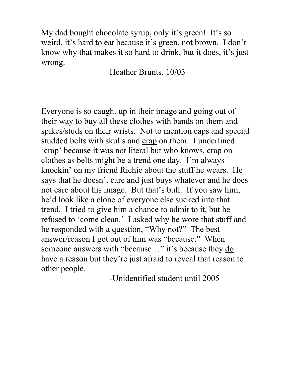My dad bought chocolate syrup, only it's green! It's so weird, it's hard to eat because it's green, not brown. I don't know why that makes it so hard to drink, but it does, it's just wrong.

Heather Brunts, 10/03

Everyone is so caught up in their image and going out of their way to buy all these clothes with bands on them and spikes/studs on their wrists. Not to mention caps and special studded belts with skulls and crap on them. I underlined 'crap' because it was not literal but who knows, crap on clothes as belts might be a trend one day. I'm always knockin' on my friend Richie about the stuff he wears. He says that he doesn't care and just buys whatever and he does not care about his image. But that's bull. If you saw him, he'd look like a clone of everyone else sucked into that trend. I tried to give him a chance to admit to it, but he refused to 'come clean.' I asked why he wore that stuff and he responded with a question, "Why not?" The best answer/reason I got out of him was "because." When someone answers with "because..." it's because they do have a reason but they're just afraid to reveal that reason to other people.

-Unidentified student until 2005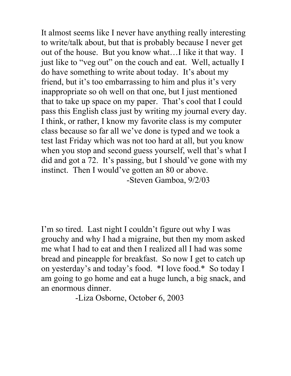It almost seems like I never have anything really interesting to write/talk about, but that is probably because I never get out of the house. But you know what…I like it that way. I just like to "veg out" on the couch and eat. Well, actually I do have something to write about today. It's about my friend, but it's too embarrassing to him and plus it's very inappropriate so oh well on that one, but I just mentioned that to take up space on my paper. That's cool that I could pass this English class just by writing my journal every day. I think, or rather, I know my favorite class is my computer class because so far all we've done is typed and we took a test last Friday which was not too hard at all, but you know when you stop and second guess yourself, well that's what I did and got a 72. It's passing, but I should've gone with my instinct. Then I would've gotten an 80 or above. -Steven Gamboa, 9/2/03

I'm so tired. Last night I couldn't figure out why I was grouchy and why I had a migraine, but then my mom asked me what I had to eat and then I realized all I had was some bread and pineapple for breakfast. So now I get to catch up on yesterday's and today's food. \*I love food.\* So today I am going to go home and eat a huge lunch, a big snack, and an enormous dinner.

-Liza Osborne, October 6, 2003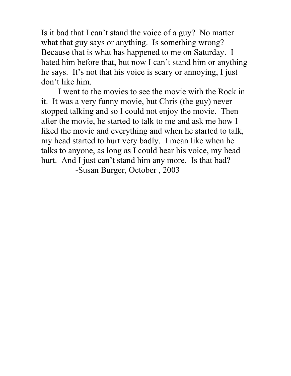Is it bad that I can't stand the voice of a guy? No matter what that guy says or anything. Is something wrong? Because that is what has happened to me on Saturday. I hated him before that, but now I can't stand him or anything he says. It's not that his voice is scary or annoying, I just don't like him.

I went to the movies to see the movie with the Rock in it. It was a very funny movie, but Chris (the guy) never stopped talking and so I could not enjoy the movie. Then after the movie, he started to talk to me and ask me how I liked the movie and everything and when he started to talk, my head started to hurt very badly. I mean like when he talks to anyone, as long as I could hear his voice, my head hurt. And I just can't stand him any more. Is that bad? -Susan Burger, October , 2003